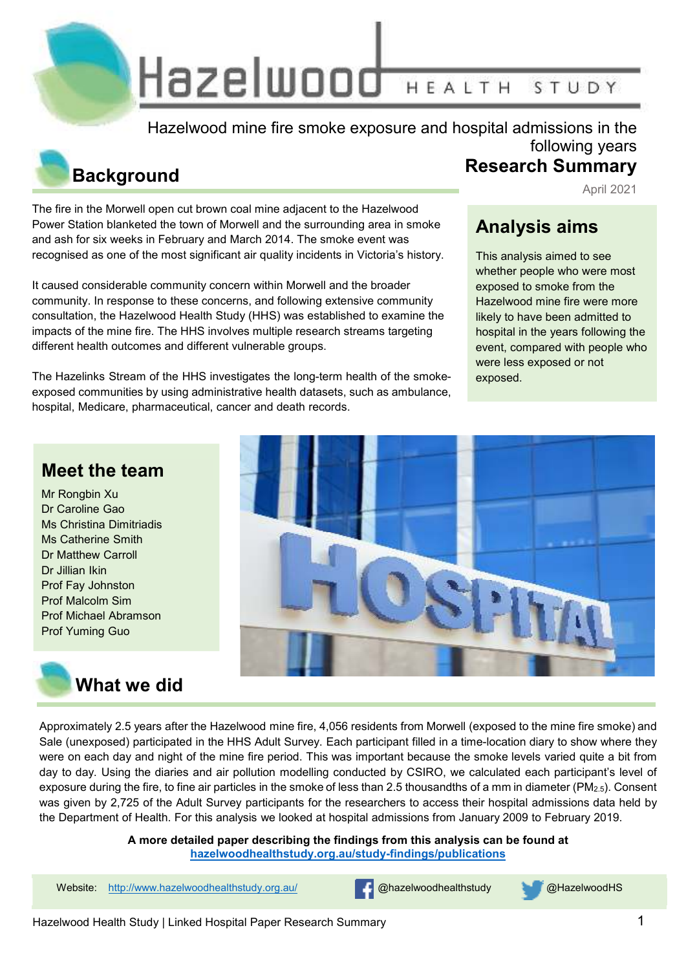Hazelwood HEALTH STUDY

Hazelwood mine fire smoke exposure and hospital admissions in the

# **Background**

The fire in the Morwell open cut brown coal mine adjacent to the Hazelwood Power Station blanketed the town of Morwell and the surrounding area in smoke and ash for six weeks in February and March 2014. The smoke event was recognised as one of the most significant air quality incidents in Victoria's history.

It caused considerable community concern within Morwell and the broader community. In response to these concerns, and following extensive community consultation, the Hazelwood Health Study (HHS) was established to examine the impacts of the mine fire. The HHS involves multiple research streams targeting different health outcomes and different vulnerable groups.

The Hazelinks Stream of the HHS investigates the long-term health of the smokeexposed communities by using administrative health datasets, such as ambulance, hospital, Medicare, pharmaceutical, cancer and death records.

#### **Research Summary** April 2021

following years

### **Analysis aims**

This analysis aimed to see whether people who were most exposed to smoke from the Hazelwood mine fire were more likely to have been admitted to hospital in the years following the event, compared with people who were less exposed or not exposed.

### **Meet the team**

Mr Rongbin Xu Dr Caroline Gao Ms Christina Dimitriadis Ms Catherine Smith Dr Matthew Carroll Dr Jillian Ikin Prof Fay Johnston Prof Malcolm Sim Prof Michael Abramson Prof Yuming Guo





Approximately 2.5 years after the Hazelwood mine fire, 4,056 residents from Morwell (exposed to the mine fire smoke) and Sale (unexposed) participated in the HHS Adult Survey. Each participant filled in a time-location diary to show where they were on each day and night of the mine fire period. This was important because the smoke levels varied quite a bit from day to day. Using the diaries and air pollution modelling conducted by CSIRO, we calculated each participant's level of exposure during the fire, to fine air particles in the smoke of less than 2.5 thousandths of a mm in diameter (PM<sub>2.5</sub>). Consent was given by 2,725 of the Adult Survey participants for the researchers to access their hospital admissions data held by the Department of Health. For this analysis we looked at hospital admissions from January 2009 to February 2019.

> **A more detailed paper describing the findings from this analysis can be found at hazelwoodhealthstudy.org.au/study-findings/publications**

Website: http://www.hazelwoodhealthstudy.org.au/ **@hazelwoodhealthstudy @HazelwoodHS**